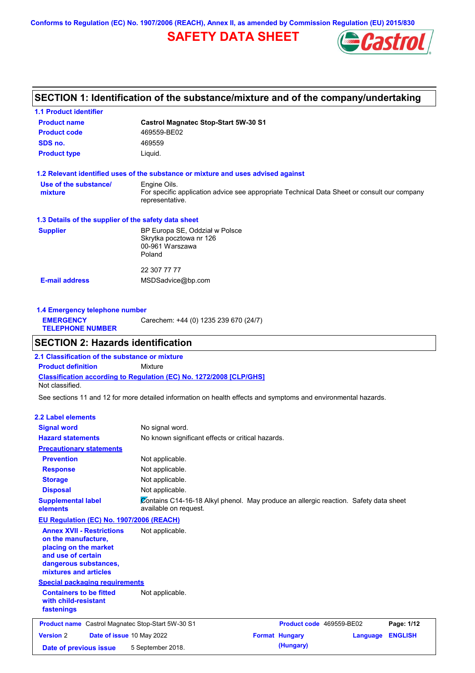**Conforms to Regulation (EC) No. 1907/2006 (REACH), Annex II, as amended by Commission Regulation (EU) 2015/830**

# **SAFETY DATA SHEET**



# **SECTION 1: Identification of the substance/mixture and of the company/undertaking**

| <b>1.1 Product identifier</b>                        |                                                                                                                |
|------------------------------------------------------|----------------------------------------------------------------------------------------------------------------|
| <b>Product name</b>                                  | <b>Castrol Magnatec Stop-Start 5W-30 S1</b>                                                                    |
| <b>Product code</b>                                  | 469559-BE02                                                                                                    |
| SDS no.                                              | 469559                                                                                                         |
| <b>Product type</b>                                  | Liquid.                                                                                                        |
|                                                      | 1.2 Relevant identified uses of the substance or mixture and uses advised against                              |
| Use of the substance/                                | Engine Oils.                                                                                                   |
| mixture                                              | For specific application advice see appropriate Technical Data Sheet or consult our company<br>representative. |
| 1.3 Details of the supplier of the safety data sheet |                                                                                                                |
| <b>Supplier</b>                                      | BP Europa SE, Oddział w Polsce                                                                                 |
|                                                      | Skrytka pocztowa nr 126                                                                                        |
|                                                      | 00-961 Warszawa<br>Poland                                                                                      |
|                                                      |                                                                                                                |
|                                                      | 22 307 77 77                                                                                                   |
| <b>E-mail address</b>                                | MSDSadvice@bp.com                                                                                              |
|                                                      |                                                                                                                |

| 1.4 Emergency telephone number              |                                       |  |  |  |
|---------------------------------------------|---------------------------------------|--|--|--|
| <b>EMERGENCY</b><br><b>TELEPHONE NUMBER</b> | Carechem: +44 (0) 1235 239 670 (24/7) |  |  |  |

# **SECTION 2: Hazards identification**

**Classification according to Regulation (EC) No. 1272/2008 [CLP/GHS] 2.1 Classification of the substance or mixture Product definition** Mixture Not classified.

See sections 11 and 12 for more detailed information on health effects and symptoms and environmental hazards.

### **2.2 Label elements**

| <b>Signal word</b>                                                                                                                                       | No signal word.                                                                                               |                          |          |                |
|----------------------------------------------------------------------------------------------------------------------------------------------------------|---------------------------------------------------------------------------------------------------------------|--------------------------|----------|----------------|
| <b>Hazard statements</b>                                                                                                                                 |                                                                                                               |                          |          |                |
|                                                                                                                                                          | No known significant effects or critical hazards.                                                             |                          |          |                |
| <b>Precautionary statements</b>                                                                                                                          |                                                                                                               |                          |          |                |
| <b>Prevention</b>                                                                                                                                        | Not applicable.                                                                                               |                          |          |                |
| <b>Response</b>                                                                                                                                          | Not applicable.                                                                                               |                          |          |                |
| <b>Storage</b>                                                                                                                                           | Not applicable.                                                                                               |                          |          |                |
| <b>Disposal</b>                                                                                                                                          | Not applicable.                                                                                               |                          |          |                |
| <b>Supplemental label</b><br>elements                                                                                                                    | Contains C14-16-18 Alkyl phenol. May produce an allergic reaction. Safety data sheet<br>available on request. |                          |          |                |
| EU Regulation (EC) No. 1907/2006 (REACH)                                                                                                                 |                                                                                                               |                          |          |                |
| <b>Annex XVII - Restrictions</b><br>on the manufacture,<br>placing on the market<br>and use of certain<br>dangerous substances,<br>mixtures and articles | Not applicable.                                                                                               |                          |          |                |
| <b>Special packaging requirements</b>                                                                                                                    |                                                                                                               |                          |          |                |
| <b>Containers to be fitted</b><br>with child-resistant<br>fastenings                                                                                     | Not applicable.                                                                                               |                          |          |                |
| <b>Product name</b> Castrol Magnatec Stop-Start 5W-30 S1                                                                                                 |                                                                                                               | Product code 469559-BE02 |          | Page: 1/12     |
| <b>Version 2</b><br>Date of issue 10 May 2022                                                                                                            |                                                                                                               | <b>Format Hungary</b>    | Language | <b>ENGLISH</b> |
| Date of previous issue                                                                                                                                   | 5 September 2018.                                                                                             | (Hungary)                |          |                |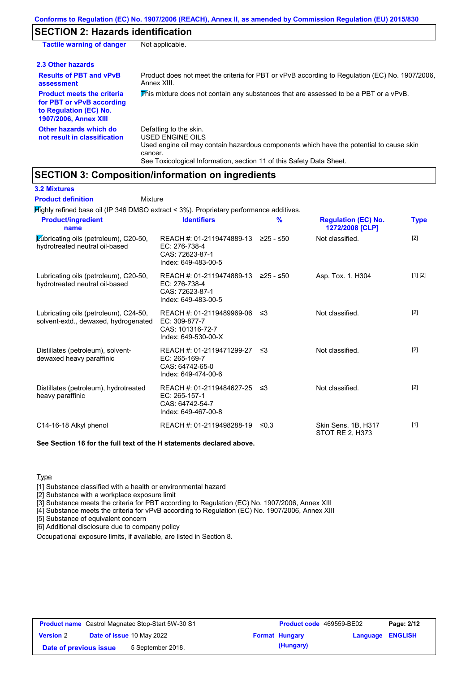# **SECTION 2: Hazards identification**

| <b>Tactile warning of danger</b>                                                                                         | Not applicable.                                                                                                                                                                                                          |
|--------------------------------------------------------------------------------------------------------------------------|--------------------------------------------------------------------------------------------------------------------------------------------------------------------------------------------------------------------------|
| 2.3 Other hazards                                                                                                        |                                                                                                                                                                                                                          |
| <b>Results of PBT and vPvB</b><br>assessment                                                                             | Product does not meet the criteria for PBT or vPvB according to Regulation (EC) No. 1907/2006.<br>Annex XIII.                                                                                                            |
| <b>Product meets the criteria</b><br>for PBT or vPvB according<br>to Regulation (EC) No.<br><b>1907/2006, Annex XIII</b> | This mixture does not contain any substances that are assessed to be a PBT or a vPvB.                                                                                                                                    |
| Other hazards which do<br>not result in classification                                                                   | Defatting to the skin.<br>USED ENGINE OILS<br>Used engine oil may contain hazardous components which have the potential to cause skin<br>cancer.<br>See Toxicological Information, section 11 of this Safety Data Sheet. |

# **SECTION 3: Composition/information on ingredients**

**3.2 Mixtures**

Highly refined base oil (IP 346 DMSO extract < 3%). Proprietary performance additives. **Product/ingredient**  Mixture **Product definition**

| <b>Product/ingredient</b><br>name                                             | <b>Identifiers</b>                                                                      | $\frac{9}{6}$ | <b>Regulation (EC) No.</b><br>1272/2008 [CLP] | <b>Type</b> |
|-------------------------------------------------------------------------------|-----------------------------------------------------------------------------------------|---------------|-----------------------------------------------|-------------|
| Lubricating oils (petroleum), C20-50,<br>hydrotreated neutral oil-based       | REACH #: 01-2119474889-13<br>EC: 276-738-4<br>CAS: 72623-87-1<br>Index: 649-483-00-5    | $≥25 - ≤50$   | Not classified.                               | [2]         |
| Lubricating oils (petroleum), C20-50,<br>hydrotreated neutral oil-based       | REACH #: 01-2119474889-13<br>EC: 276-738-4<br>CAS: 72623-87-1<br>Index: 649-483-00-5    | ≥25 - ≤50     | Asp. Tox. 1, H304                             | [1] [2]     |
| Lubricating oils (petroleum), C24-50,<br>solvent-extd., dewaxed, hydrogenated | REACH #: 01-2119489969-06<br>$EC: 309-877-7$<br>CAS: 101316-72-7<br>Index: 649-530-00-X | ึ ≤3          | Not classified.                               | $[2]$       |
| Distillates (petroleum), solvent-<br>dewaxed heavy paraffinic                 | REACH #: 01-2119471299-27 ≤3<br>EC: 265-169-7<br>CAS: 64742-65-0<br>Index: 649-474-00-6 |               | Not classified.                               | $[2]$       |
| Distillates (petroleum), hydrotreated<br>heavy paraffinic                     | REACH #: 01-2119484627-25 ≤3<br>EC: 265-157-1<br>CAS: 64742-54-7<br>Index: 649-467-00-8 |               | Not classified.                               | $[2]$       |
| C14-16-18 Alkyl phenol                                                        | REACH #: 01-2119498288-19                                                               | ≤0.3          | Skin Sens. 1B, H317<br>STOT RE 2, H373        | $[1]$       |

**See Section 16 for the full text of the H statements declared above.**

**Type** 

[1] Substance classified with a health or environmental hazard

[2] Substance with a workplace exposure limit

[3] Substance meets the criteria for PBT according to Regulation (EC) No. 1907/2006, Annex XIII

[4] Substance meets the criteria for vPvB according to Regulation (EC) No. 1907/2006, Annex XIII

[5] Substance of equivalent concern

[6] Additional disclosure due to company policy

Occupational exposure limits, if available, are listed in Section 8.

| <b>Product name</b> Castrol Magnatec Stop-Start 5W-30 S1 |  | <b>Product code</b> 469559-BE02  |  | Page: 2/12            |                         |  |
|----------------------------------------------------------|--|----------------------------------|--|-----------------------|-------------------------|--|
| <b>Version 2</b>                                         |  | <b>Date of issue 10 May 2022</b> |  | <b>Format Hungary</b> | <b>Language ENGLISH</b> |  |
| Date of previous issue                                   |  | 5 September 2018.                |  | (Hungary)             |                         |  |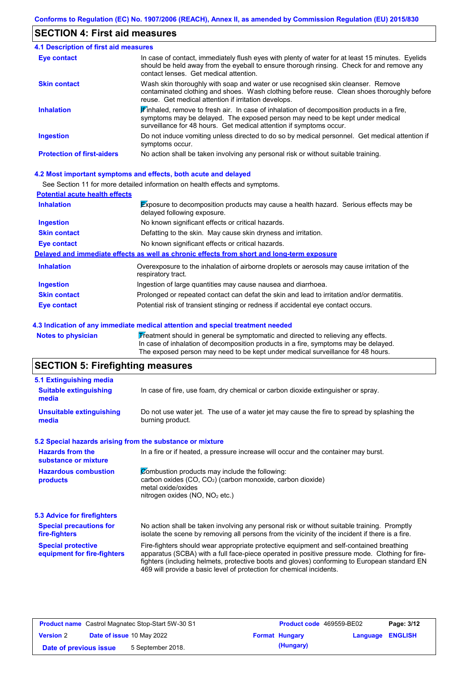# **SECTION 4: First aid measures**

| <b>4.1 Description of first aid measures</b> |                                                                                                                                                                                                                                                              |
|----------------------------------------------|--------------------------------------------------------------------------------------------------------------------------------------------------------------------------------------------------------------------------------------------------------------|
| <b>Eye contact</b>                           | In case of contact, immediately flush eyes with plenty of water for at least 15 minutes. Eyelids<br>should be held away from the eyeball to ensure thorough rinsing. Check for and remove any<br>contact lenses. Get medical attention.                      |
| <b>Skin contact</b>                          | Wash skin thoroughly with soap and water or use recognised skin cleanser. Remove<br>contaminated clothing and shoes. Wash clothing before reuse. Clean shoes thoroughly before<br>reuse. Get medical attention if irritation develops.                       |
| <b>Inhalation</b>                            | $\mathbf F$ inhaled, remove to fresh air. In case of inhalation of decomposition products in a fire,<br>symptoms may be delayed. The exposed person may need to be kept under medical<br>surveillance for 48 hours. Get medical attention if symptoms occur. |
| <b>Ingestion</b>                             | Do not induce vomiting unless directed to do so by medical personnel. Get medical attention if<br>symptoms occur.                                                                                                                                            |
| <b>Protection of first-aiders</b>            | No action shall be taken involving any personal risk or without suitable training.                                                                                                                                                                           |

### **4.2 Most important symptoms and effects, both acute and delayed**

See Section 11 for more detailed information on health effects and symptoms.

| <b>Potential acute health effects</b> |                                                                                                                            |
|---------------------------------------|----------------------------------------------------------------------------------------------------------------------------|
| <b>Inhalation</b>                     | <b>Exposure to decomposition products may cause a health hazard. Serious effects may be</b><br>delayed following exposure. |
| <b>Ingestion</b>                      | No known significant effects or critical hazards.                                                                          |
| <b>Skin contact</b>                   | Defatting to the skin. May cause skin dryness and irritation.                                                              |
| Eye contact                           | No known significant effects or critical hazards.                                                                          |
|                                       | Delayed and immediate effects as well as chronic effects from short and long-term exposure                                 |
| <b>Inhalation</b>                     | Overexposure to the inhalation of airborne droplets or aerosols may cause irritation of the<br>respiratory tract.          |
| <b>Ingestion</b>                      | Ingestion of large quantities may cause nausea and diarrhoea.                                                              |
| <b>Skin contact</b>                   | Prolonged or repeated contact can defat the skin and lead to irritation and/or dermatitis.                                 |
| Eye contact                           | Potential risk of transient stinging or redness if accidental eye contact occurs.                                          |

### **4.3 Indication of any immediate medical attention and special treatment needed**

Notes to physician **Treatment should in general be symptomatic and directed to relieving any effects.** In case of inhalation of decomposition products in a fire, symptoms may be delayed. The exposed person may need to be kept under medical surveillance for 48 hours.

# **SECTION 5: Firefighting measures**

| 5.1 Extinguishing media                                   |                                                                                                                                                                                                                                                                                                                                                                   |  |  |  |
|-----------------------------------------------------------|-------------------------------------------------------------------------------------------------------------------------------------------------------------------------------------------------------------------------------------------------------------------------------------------------------------------------------------------------------------------|--|--|--|
| <b>Suitable extinguishing</b><br>media                    | In case of fire, use foam, dry chemical or carbon dioxide extinguisher or spray.                                                                                                                                                                                                                                                                                  |  |  |  |
| <b>Unsuitable extinguishing</b><br>media                  | Do not use water jet. The use of a water jet may cause the fire to spread by splashing the<br>burning product.                                                                                                                                                                                                                                                    |  |  |  |
| 5.2 Special hazards arising from the substance or mixture |                                                                                                                                                                                                                                                                                                                                                                   |  |  |  |
| <b>Hazards from the</b><br>substance or mixture           | In a fire or if heated, a pressure increase will occur and the container may burst.                                                                                                                                                                                                                                                                               |  |  |  |
| <b>Hazardous combustion</b><br>products                   | Combustion products may include the following:<br>carbon oxides (CO, CO <sub>2</sub> ) (carbon monoxide, carbon dioxide)<br>metal oxide/oxides<br>nitrogen oxides (NO, NO <sub>2</sub> etc.)                                                                                                                                                                      |  |  |  |
| 5.3 Advice for firefighters                               |                                                                                                                                                                                                                                                                                                                                                                   |  |  |  |
| <b>Special precautions for</b><br>fire-fighters           | No action shall be taken involving any personal risk or without suitable training. Promptly<br>isolate the scene by removing all persons from the vicinity of the incident if there is a fire.                                                                                                                                                                    |  |  |  |
| <b>Special protective</b><br>equipment for fire-fighters  | Fire-fighters should wear appropriate protective equipment and self-contained breathing<br>apparatus (SCBA) with a full face-piece operated in positive pressure mode. Clothing for fire-<br>fighters (including helmets, protective boots and gloves) conforming to European standard EN<br>469 will provide a basic level of protection for chemical incidents. |  |  |  |

| <b>Product name</b> Castrol Magnatec Stop-Start 5W-30 S1 |  | <b>Product code</b> 469559-BE02  |  | Page: 3/12            |                         |  |
|----------------------------------------------------------|--|----------------------------------|--|-----------------------|-------------------------|--|
| <b>Version 2</b>                                         |  | <b>Date of issue 10 May 2022</b> |  | <b>Format Hungary</b> | <b>Language ENGLISH</b> |  |
| Date of previous issue                                   |  | 5 September 2018.                |  | (Hungary)             |                         |  |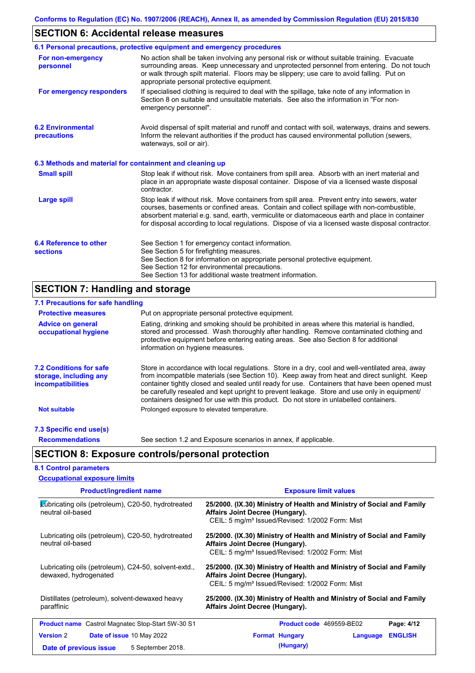# **SECTION 6: Accidental release measures**

|                                                          | 6.1 Personal precautions, protective equipment and emergency procedures                                                                                                                                                                                                                                                                                                                        |
|----------------------------------------------------------|------------------------------------------------------------------------------------------------------------------------------------------------------------------------------------------------------------------------------------------------------------------------------------------------------------------------------------------------------------------------------------------------|
| For non-emergency<br>personnel                           | No action shall be taken involving any personal risk or without suitable training. Evacuate<br>surrounding areas. Keep unnecessary and unprotected personnel from entering. Do not touch<br>or walk through spilt material. Floors may be slippery; use care to avoid falling. Put on<br>appropriate personal protective equipment.                                                            |
| For emergency responders                                 | If specialised clothing is required to deal with the spillage, take note of any information in<br>Section 8 on suitable and unsuitable materials. See also the information in "For non-<br>emergency personnel".                                                                                                                                                                               |
| <b>6.2 Environmental</b><br>precautions                  | Avoid dispersal of spilt material and runoff and contact with soil, waterways, drains and sewers.<br>Inform the relevant authorities if the product has caused environmental pollution (sewers,<br>waterways, soil or air).                                                                                                                                                                    |
| 6.3 Methods and material for containment and cleaning up |                                                                                                                                                                                                                                                                                                                                                                                                |
| <b>Small spill</b>                                       | Stop leak if without risk. Move containers from spill area. Absorb with an inert material and<br>place in an appropriate waste disposal container. Dispose of via a licensed waste disposal<br>contractor.                                                                                                                                                                                     |
| <b>Large spill</b>                                       | Stop leak if without risk. Move containers from spill area. Prevent entry into sewers, water<br>courses, basements or confined areas. Contain and collect spillage with non-combustible,<br>absorbent material e.g. sand, earth, vermiculite or diatomaceous earth and place in container<br>for disposal according to local regulations. Dispose of via a licensed waste disposal contractor. |
| 6.4 Reference to other<br><b>sections</b>                | See Section 1 for emergency contact information.<br>See Section 5 for firefighting measures.<br>See Section 8 for information on appropriate personal protective equipment.<br>See Section 12 for environmental precautions.<br>See Section 13 for additional waste treatment information.                                                                                                     |

# **SECTION 7: Handling and storage**

| 7.1 Precautions for safe handling                                                    |                                                                                                                                                                                                                                                                                                                                                                                                                                                                                          |
|--------------------------------------------------------------------------------------|------------------------------------------------------------------------------------------------------------------------------------------------------------------------------------------------------------------------------------------------------------------------------------------------------------------------------------------------------------------------------------------------------------------------------------------------------------------------------------------|
| <b>Protective measures</b>                                                           | Put on appropriate personal protective equipment.                                                                                                                                                                                                                                                                                                                                                                                                                                        |
| <b>Advice on general</b><br>occupational hygiene                                     | Eating, drinking and smoking should be prohibited in areas where this material is handled,<br>stored and processed. Wash thoroughly after handling. Remove contaminated clothing and<br>protective equipment before entering eating areas. See also Section 8 for additional<br>information on hygiene measures.                                                                                                                                                                         |
| <b>7.2 Conditions for safe</b><br>storage, including any<br><i>incompatibilities</i> | Store in accordance with local regulations. Store in a dry, cool and well-ventilated area, away<br>from incompatible materials (see Section 10). Keep away from heat and direct sunlight. Keep<br>container tightly closed and sealed until ready for use. Containers that have been opened must<br>be carefully resealed and kept upright to prevent leakage. Store and use only in equipment/<br>containers designed for use with this product. Do not store in unlabelled containers. |
| <b>Not suitable</b>                                                                  | Prolonged exposure to elevated temperature.                                                                                                                                                                                                                                                                                                                                                                                                                                              |
| 7.3 Specific end use(s)                                                              |                                                                                                                                                                                                                                                                                                                                                                                                                                                                                          |
| <b>Recommendations</b>                                                               | See section 1.2 and Exposure scenarios in annex, if applicable.                                                                                                                                                                                                                                                                                                                                                                                                                          |
|                                                                                      | <b>SECTION 8: Exposure controls/personal protection</b>                                                                                                                                                                                                                                                                                                                                                                                                                                  |
| <b>8.1 Control parameters</b>                                                        |                                                                                                                                                                                                                                                                                                                                                                                                                                                                                          |

| <b>Occupational exposure limits</b>                                                          |                                                                                                                                                                         |
|----------------------------------------------------------------------------------------------|-------------------------------------------------------------------------------------------------------------------------------------------------------------------------|
| <b>Product/ingredient name</b>                                                               | <b>Exposure limit values</b>                                                                                                                                            |
| Lubricating oils (petroleum), C20-50, hydrotreated<br>neutral oil-based                      | 25/2000. (IX.30) Ministry of Health and Ministry of Social and Family<br>Affairs Joint Decree (Hungary).<br>CEIL: 5 mg/m <sup>3</sup> Issued/Revised: 1/2002 Form: Mist |
| Lubricating oils (petroleum), C20-50, hydrotreated<br>neutral oil-based                      | 25/2000. (IX.30) Ministry of Health and Ministry of Social and Family<br>Affairs Joint Decree (Hungary).<br>CEIL: 5 mg/m <sup>3</sup> Issued/Revised: 1/2002 Form: Mist |
| Lubricating oils (petroleum), C24-50, solvent-extd.,<br>dewaxed, hydrogenated                | 25/2000. (IX.30) Ministry of Health and Ministry of Social and Family<br>Affairs Joint Decree (Hungary).<br>CEIL: 5 mg/m <sup>3</sup> Issued/Revised: 1/2002 Form: Mist |
| Distillates (petroleum), solvent-dewaxed heavy<br>paraffinic                                 | 25/2000. (IX.30) Ministry of Health and Ministry of Social and Family<br>Affairs Joint Decree (Hungary).                                                                |
| <b>Product name</b> Castrol Magnatec Stop-Start 5W-30 S1                                     | Page: 4/12<br><b>Product code</b> 469559-BE02                                                                                                                           |
| <b>Version 2</b><br>Date of issue 10 May 2022<br>5 September 2018.<br>Date of previous issue | <b>ENGLISH</b><br><b>Format Hungary</b><br>Language<br>(Hungary)                                                                                                        |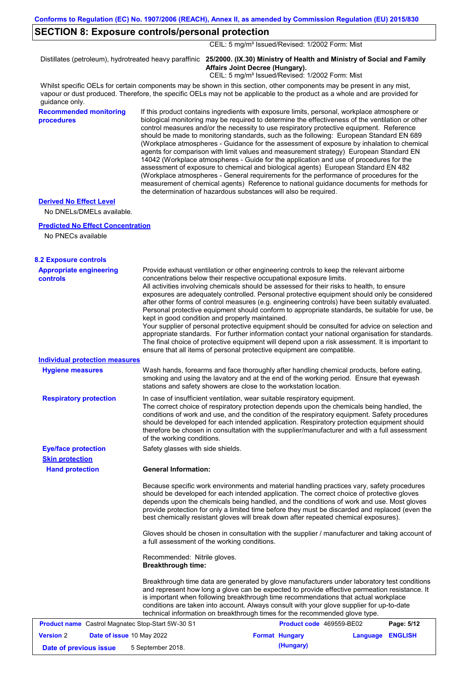# **SECTION 8: Exposure controls/personal protection**

CEIL: 5 mg/m<sup>3</sup> Issued/Revised: 1/2002 Form: Mist

Distillates (petroleum), hydrotreated heavy paraffinic **25/2000. (IX.30) Ministry of Health and Ministry of Social and Family Affairs Joint Decree (Hungary).**

CEIL: 5 mg/m<sup>3</sup> Issued/Revised: 1/2002 Form: Mist

Whilst specific OELs for certain components may be shown in this section, other components may be present in any mist, vapour or dust produced. Therefore, the specific OELs may not be applicable to the product as a whole and are provided for guidance only.

**Recommended monitoring procedures**

If this product contains ingredients with exposure limits, personal, workplace atmosphere or biological monitoring may be required to determine the effectiveness of the ventilation or other control measures and/or the necessity to use respiratory protective equipment. Reference should be made to monitoring standards, such as the following: European Standard EN 689 (Workplace atmospheres - Guidance for the assessment of exposure by inhalation to chemical agents for comparison with limit values and measurement strategy) European Standard EN 14042 (Workplace atmospheres - Guide for the application and use of procedures for the assessment of exposure to chemical and biological agents) European Standard EN 482 (Workplace atmospheres - General requirements for the performance of procedures for the measurement of chemical agents) Reference to national guidance documents for methods for the determination of hazardous substances will also be required.

## **Derived No Effect Level**

No DNELs/DMELs available.

#### **Predicted No Effect Concentration**

No PNECs available

| <b>8.2 Exposure controls</b>               |                                                                                                                                                                                                                                                                                                                                                                                                                                                                                                                                                                                                                                                                                                                                                                                                                                                                                                                                                                                                         |
|--------------------------------------------|---------------------------------------------------------------------------------------------------------------------------------------------------------------------------------------------------------------------------------------------------------------------------------------------------------------------------------------------------------------------------------------------------------------------------------------------------------------------------------------------------------------------------------------------------------------------------------------------------------------------------------------------------------------------------------------------------------------------------------------------------------------------------------------------------------------------------------------------------------------------------------------------------------------------------------------------------------------------------------------------------------|
| <b>Appropriate engineering</b><br>controls | Provide exhaust ventilation or other engineering controls to keep the relevant airborne<br>concentrations below their respective occupational exposure limits.<br>All activities involving chemicals should be assessed for their risks to health, to ensure<br>exposures are adequately controlled. Personal protective equipment should only be considered<br>after other forms of control measures (e.g. engineering controls) have been suitably evaluated.<br>Personal protective equipment should conform to appropriate standards, be suitable for use, be<br>kept in good condition and properly maintained.<br>Your supplier of personal protective equipment should be consulted for advice on selection and<br>appropriate standards. For further information contact your national organisation for standards.<br>The final choice of protective equipment will depend upon a risk assessment. It is important to<br>ensure that all items of personal protective equipment are compatible. |
| <b>Individual protection measures</b>      |                                                                                                                                                                                                                                                                                                                                                                                                                                                                                                                                                                                                                                                                                                                                                                                                                                                                                                                                                                                                         |
| <b>Hygiene measures</b>                    | Wash hands, forearms and face thoroughly after handling chemical products, before eating,<br>smoking and using the lavatory and at the end of the working period. Ensure that eyewash<br>stations and safety showers are close to the workstation location.                                                                                                                                                                                                                                                                                                                                                                                                                                                                                                                                                                                                                                                                                                                                             |
| <b>Respiratory protection</b>              | In case of insufficient ventilation, wear suitable respiratory equipment.<br>The correct choice of respiratory protection depends upon the chemicals being handled, the<br>conditions of work and use, and the condition of the respiratory equipment. Safety procedures<br>should be developed for each intended application. Respiratory protection equipment should<br>therefore be chosen in consultation with the supplier/manufacturer and with a full assessment<br>of the working conditions.                                                                                                                                                                                                                                                                                                                                                                                                                                                                                                   |
| <b>Eye/face protection</b>                 | Safety glasses with side shields.                                                                                                                                                                                                                                                                                                                                                                                                                                                                                                                                                                                                                                                                                                                                                                                                                                                                                                                                                                       |
| <b>Skin protection</b>                     |                                                                                                                                                                                                                                                                                                                                                                                                                                                                                                                                                                                                                                                                                                                                                                                                                                                                                                                                                                                                         |
| <b>Hand protection</b>                     | <b>General Information:</b>                                                                                                                                                                                                                                                                                                                                                                                                                                                                                                                                                                                                                                                                                                                                                                                                                                                                                                                                                                             |
|                                            | Because specific work environments and material handling practices vary, safety procedures<br>should be developed for each intended application. The correct choice of protective gloves<br>depends upon the chemicals being handled, and the conditions of work and use. Most gloves<br>provide protection for only a limited time before they must be discarded and replaced (even the<br>best chemically resistant gloves will break down after repeated chemical exposures).                                                                                                                                                                                                                                                                                                                                                                                                                                                                                                                        |
|                                            | Gloves should be chosen in consultation with the supplier / manufacturer and taking account of<br>a full assessment of the working conditions.                                                                                                                                                                                                                                                                                                                                                                                                                                                                                                                                                                                                                                                                                                                                                                                                                                                          |
|                                            | Recommended: Nitrile gloves.<br><b>Breakthrough time:</b>                                                                                                                                                                                                                                                                                                                                                                                                                                                                                                                                                                                                                                                                                                                                                                                                                                                                                                                                               |
|                                            | Breakthrough time data are generated by glove manufacturers under laboratory test conditions<br>and represent how long a glove can be expected to provide effective permeation resistance. It<br>is important when following breakthrough time recommendations that actual workplace<br>conditions are taken into account. Always consult with your glove supplier for up-to-date                                                                                                                                                                                                                                                                                                                                                                                                                                                                                                                                                                                                                       |

|                        | <b>Product name</b> Castrol Magnatec Stop-Start 5W-30 S1 | <b>Product code</b> 469559-BE02 |                         | Page: 5/12 |
|------------------------|----------------------------------------------------------|---------------------------------|-------------------------|------------|
| <b>Version</b> 2       | <b>Date of issue 10 May 2022</b>                         | <b>Format Hungary</b>           | <b>Language ENGLISH</b> |            |
| Date of previous issue | 5 September 2018.                                        | (Hungary)                       |                         |            |

technical information on breakthrough times for the recommended glove type.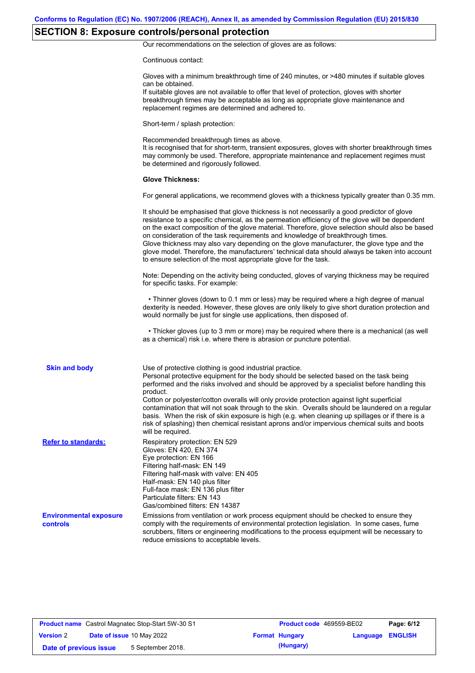# **SECTION 8: Exposure controls/personal protection**

Our recommendations on the selection of gloves are as follows:

Continuous contact:

|                                           | Gloves with a minimum breakthrough time of 240 minutes, or >480 minutes if suitable gloves<br>can be obtained.<br>If suitable gloves are not available to offer that level of protection, gloves with shorter<br>breakthrough times may be acceptable as long as appropriate glove maintenance and<br>replacement regimes are determined and adhered to.                                                                                                                                                                                                                                                                                                                              |
|-------------------------------------------|---------------------------------------------------------------------------------------------------------------------------------------------------------------------------------------------------------------------------------------------------------------------------------------------------------------------------------------------------------------------------------------------------------------------------------------------------------------------------------------------------------------------------------------------------------------------------------------------------------------------------------------------------------------------------------------|
|                                           | Short-term / splash protection:                                                                                                                                                                                                                                                                                                                                                                                                                                                                                                                                                                                                                                                       |
|                                           | Recommended breakthrough times as above.<br>It is recognised that for short-term, transient exposures, gloves with shorter breakthrough times<br>may commonly be used. Therefore, appropriate maintenance and replacement regimes must<br>be determined and rigorously followed.                                                                                                                                                                                                                                                                                                                                                                                                      |
|                                           | <b>Glove Thickness:</b>                                                                                                                                                                                                                                                                                                                                                                                                                                                                                                                                                                                                                                                               |
|                                           | For general applications, we recommend gloves with a thickness typically greater than 0.35 mm.                                                                                                                                                                                                                                                                                                                                                                                                                                                                                                                                                                                        |
|                                           | It should be emphasised that glove thickness is not necessarily a good predictor of glove<br>resistance to a specific chemical, as the permeation efficiency of the glove will be dependent<br>on the exact composition of the glove material. Therefore, glove selection should also be based<br>on consideration of the task requirements and knowledge of breakthrough times.<br>Glove thickness may also vary depending on the glove manufacturer, the glove type and the<br>glove model. Therefore, the manufacturers' technical data should always be taken into account<br>to ensure selection of the most appropriate glove for the task.                                     |
|                                           | Note: Depending on the activity being conducted, gloves of varying thickness may be required<br>for specific tasks. For example:                                                                                                                                                                                                                                                                                                                                                                                                                                                                                                                                                      |
|                                           | • Thinner gloves (down to 0.1 mm or less) may be required where a high degree of manual<br>dexterity is needed. However, these gloves are only likely to give short duration protection and<br>would normally be just for single use applications, then disposed of.                                                                                                                                                                                                                                                                                                                                                                                                                  |
|                                           | • Thicker gloves (up to 3 mm or more) may be required where there is a mechanical (as well<br>as a chemical) risk i.e. where there is abrasion or puncture potential.                                                                                                                                                                                                                                                                                                                                                                                                                                                                                                                 |
| <b>Skin and body</b>                      | Use of protective clothing is good industrial practice.<br>Personal protective equipment for the body should be selected based on the task being<br>performed and the risks involved and should be approved by a specialist before handling this<br>product.<br>Cotton or polyester/cotton overalls will only provide protection against light superficial<br>contamination that will not soak through to the skin. Overalls should be laundered on a regular<br>basis. When the risk of skin exposure is high (e.g. when cleaning up spillages or if there is a<br>risk of splashing) then chemical resistant aprons and/or impervious chemical suits and boots<br>will be required. |
| <b>Refer to standards:</b>                | Respiratory protection: EN 529<br>Gloves: EN 420, EN 374<br>Eye protection: EN 166<br>Filtering half-mask: EN 149<br>Filtering half-mask with valve: EN 405<br>Half-mask: EN 140 plus filter<br>Full-face mask: EN 136 plus filter<br>Particulate filters: EN 143<br>Gas/combined filters: EN 14387                                                                                                                                                                                                                                                                                                                                                                                   |
| <b>Environmental exposure</b><br>controls | Emissions from ventilation or work process equipment should be checked to ensure they<br>comply with the requirements of environmental protection legislation. In some cases, fume<br>scrubbers, filters or engineering modifications to the process equipment will be necessary to<br>reduce emissions to acceptable levels.                                                                                                                                                                                                                                                                                                                                                         |

| <b>Product name</b> Castrol Magnatec Stop-Start 5W-30 S1 |                                  | Product code 469559-BE02 |                       | Page: 6/12              |  |
|----------------------------------------------------------|----------------------------------|--------------------------|-----------------------|-------------------------|--|
| <b>Version 2</b>                                         | <b>Date of issue 10 May 2022</b> |                          | <b>Format Hungary</b> | <b>Language ENGLISH</b> |  |
| Date of previous issue                                   |                                  | 5 September 2018.        | (Hungary)             |                         |  |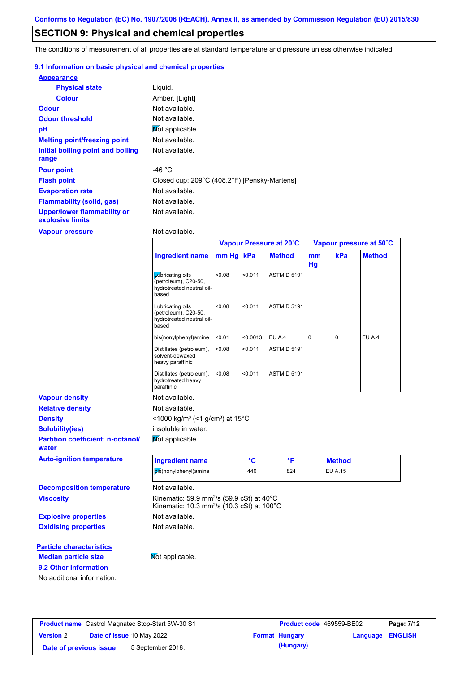# **SECTION 9: Physical and chemical properties**

The conditions of measurement of all properties are at standard temperature and pressure unless otherwise indicated.

## **9.1 Information on basic physical and chemical properties**

| <b>Appearance</b>                               |                                              |
|-------------------------------------------------|----------------------------------------------|
| <b>Physical state</b>                           | Liquid.                                      |
| <b>Colour</b>                                   | Amber. [Light]                               |
| <b>Odour</b>                                    | Not available.                               |
| <b>Odour threshold</b>                          | Not available.                               |
| pH                                              | Mot applicable.                              |
| <b>Melting point/freezing point</b>             | Not available.                               |
| Initial boiling point and boiling<br>range      | Not available.                               |
| <b>Pour point</b>                               | -46 °C                                       |
| <b>Flash point</b>                              | Closed cup: 209°C (408.2°F) [Pensky-Martens] |
| <b>Evaporation rate</b>                         | Not available.                               |
| <b>Flammability (solid, gas)</b>                | Not available.                               |
| Upper/lower flammability or<br>explosive limits | Not available.                               |

**Vapour pressure**

**9.2 Other information**

No additional information.

Not available.

|                                                   |                                                                                                                            | Vapour Pressure at 20°C |          |                    | Vapour pressure at 50°C |                |               |
|---------------------------------------------------|----------------------------------------------------------------------------------------------------------------------------|-------------------------|----------|--------------------|-------------------------|----------------|---------------|
|                                                   | <b>Ingredient name</b>                                                                                                     | mm Hg kPa               |          | <b>Method</b>      | mm<br>Hg                | kPa            | <b>Method</b> |
|                                                   | <b>L</b> úbricating oils<br>(petroleum), C20-50,<br>hydrotreated neutral oil-<br>based                                     | < 0.08                  | < 0.011  | <b>ASTM D 5191</b> |                         |                |               |
|                                                   | Lubricating oils<br>(petroleum), C20-50,<br>hydrotreated neutral oil-<br>based                                             | < 0.08                  | < 0.011  | <b>ASTM D 5191</b> |                         |                |               |
|                                                   | bis(nonylphenyl)amine                                                                                                      | < 0.01                  | < 0.0013 | EU A.4             | 0                       | 0              | EU A.4        |
|                                                   | Distillates (petroleum),<br>solvent-dewaxed<br>heavy paraffinic                                                            | < 0.08                  | < 0.011  | <b>ASTM D 5191</b> |                         |                |               |
|                                                   | Distillates (petroleum),<br>hydrotreated heavy<br>paraffinic                                                               | < 0.08                  | < 0.011  | <b>ASTM D 5191</b> |                         |                |               |
| <b>Vapour density</b>                             | Not available.                                                                                                             |                         |          |                    |                         |                |               |
| <b>Relative density</b>                           | Not available.                                                                                                             |                         |          |                    |                         |                |               |
| <b>Density</b>                                    | <1000 kg/m <sup>3</sup> (<1 g/cm <sup>3</sup> ) at 15 <sup>°</sup> C                                                       |                         |          |                    |                         |                |               |
| <b>Solubility(ies)</b>                            | insoluble in water.                                                                                                        |                         |          |                    |                         |                |               |
| <b>Partition coefficient: n-octanol/</b><br>water | Not applicable.                                                                                                            |                         |          |                    |                         |                |               |
| <b>Auto-ignition temperature</b>                  | <b>Ingredient name</b>                                                                                                     |                         | °C       | °F                 |                         | <b>Method</b>  |               |
|                                                   | bis(nonylphenyl)amine                                                                                                      |                         | 440      | 824                |                         | <b>EU A.15</b> |               |
| <b>Decomposition temperature</b>                  | Not available.                                                                                                             |                         |          |                    |                         |                |               |
| <b>Viscosity</b>                                  | Kinematic: 59.9 mm <sup>2</sup> /s (59.9 cSt) at 40°C<br>Kinematic: 10.3 mm <sup>2</sup> /s (10.3 cSt) at 100 $^{\circ}$ C |                         |          |                    |                         |                |               |
| <b>Explosive properties</b>                       | Not available.                                                                                                             |                         |          |                    |                         |                |               |
| <b>Oxidising properties</b>                       | Not available.                                                                                                             |                         |          |                    |                         |                |               |
| <b>Particle characteristics</b>                   |                                                                                                                            |                         |          |                    |                         |                |               |
| <b>Median particle size</b>                       | Not applicable.                                                                                                            |                         |          |                    |                         |                |               |

## **Product name** Castrol Magnatec Stop-Start 5W-30 S1 **Product code** 469559-BE02 **Page: 7/12 Version** 2 **Date of issue** 10 May 2022 **Format Hungary Language ENGLISH Date of previous issue** 5 September 2018. **(Hungary)** (Hungary)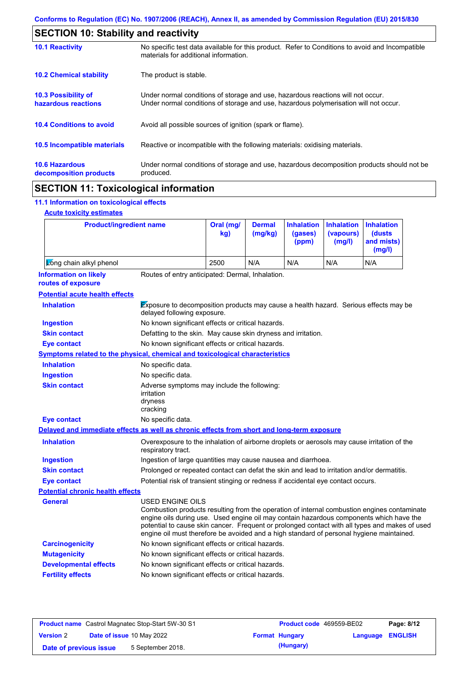| <b>SECTION 10: Stability and reactivity</b>     |                                                                                                                                                                         |  |  |  |
|-------------------------------------------------|-------------------------------------------------------------------------------------------------------------------------------------------------------------------------|--|--|--|
| <b>10.1 Reactivity</b>                          | No specific test data available for this product. Refer to Conditions to avoid and Incompatible<br>materials for additional information.                                |  |  |  |
| <b>10.2 Chemical stability</b>                  | The product is stable.                                                                                                                                                  |  |  |  |
| 10.3 Possibility of<br>hazardous reactions      | Under normal conditions of storage and use, hazardous reactions will not occur.<br>Under normal conditions of storage and use, hazardous polymerisation will not occur. |  |  |  |
| <b>10.4 Conditions to avoid</b>                 | Avoid all possible sources of ignition (spark or flame).                                                                                                                |  |  |  |
| <b>10.5 Incompatible materials</b>              | Reactive or incompatible with the following materials: oxidising materials.                                                                                             |  |  |  |
| <b>10.6 Hazardous</b><br>decomposition products | Under normal conditions of storage and use, hazardous decomposition products should not be<br>produced.                                                                 |  |  |  |

# **SECTION 11: Toxicological information**

# **11.1 Information on toxicological effects**

|  | <b>Acute toxicity estimates</b> |
|--|---------------------------------|
|  |                                 |

| <b>Product/ingredient name</b>                                                             |                                                                                                                                                                                                                                                                                                                                                                                                                 | Oral (mg/<br>kg)                                                                            | <b>Dermal</b><br>(mg/kg) | <b>Inhalation</b><br>(gases)<br>(ppm) | <b>Inhalation</b><br>(vapours)<br>(mg/l) | <b>Inhalation</b><br>(dusts)<br>and mists)<br>(mg/l) |  |
|--------------------------------------------------------------------------------------------|-----------------------------------------------------------------------------------------------------------------------------------------------------------------------------------------------------------------------------------------------------------------------------------------------------------------------------------------------------------------------------------------------------------------|---------------------------------------------------------------------------------------------|--------------------------|---------------------------------------|------------------------------------------|------------------------------------------------------|--|
| Long chain alkyl phenol                                                                    |                                                                                                                                                                                                                                                                                                                                                                                                                 | 2500                                                                                        | N/A                      | N/A                                   | N/A                                      | N/A                                                  |  |
| <b>Information on likely</b><br>routes of exposure                                         | Routes of entry anticipated: Dermal, Inhalation.                                                                                                                                                                                                                                                                                                                                                                |                                                                                             |                          |                                       |                                          |                                                      |  |
| <b>Potential acute health effects</b>                                                      |                                                                                                                                                                                                                                                                                                                                                                                                                 |                                                                                             |                          |                                       |                                          |                                                      |  |
| <b>Inhalation</b>                                                                          | Exposure to decomposition products may cause a health hazard. Serious effects may be<br>delayed following exposure.                                                                                                                                                                                                                                                                                             |                                                                                             |                          |                                       |                                          |                                                      |  |
| <b>Ingestion</b>                                                                           | No known significant effects or critical hazards.                                                                                                                                                                                                                                                                                                                                                               |                                                                                             |                          |                                       |                                          |                                                      |  |
| <b>Skin contact</b>                                                                        | Defatting to the skin. May cause skin dryness and irritation.                                                                                                                                                                                                                                                                                                                                                   |                                                                                             |                          |                                       |                                          |                                                      |  |
| <b>Eye contact</b>                                                                         | No known significant effects or critical hazards.                                                                                                                                                                                                                                                                                                                                                               |                                                                                             |                          |                                       |                                          |                                                      |  |
| <b>Symptoms related to the physical, chemical and toxicological characteristics</b>        |                                                                                                                                                                                                                                                                                                                                                                                                                 |                                                                                             |                          |                                       |                                          |                                                      |  |
| <b>Inhalation</b>                                                                          | No specific data.                                                                                                                                                                                                                                                                                                                                                                                               |                                                                                             |                          |                                       |                                          |                                                      |  |
| <b>Ingestion</b>                                                                           | No specific data.                                                                                                                                                                                                                                                                                                                                                                                               |                                                                                             |                          |                                       |                                          |                                                      |  |
| <b>Skin contact</b>                                                                        | irritation<br>dryness<br>cracking                                                                                                                                                                                                                                                                                                                                                                               | Adverse symptoms may include the following:                                                 |                          |                                       |                                          |                                                      |  |
| <b>Eye contact</b>                                                                         | No specific data.                                                                                                                                                                                                                                                                                                                                                                                               |                                                                                             |                          |                                       |                                          |                                                      |  |
| Delayed and immediate effects as well as chronic effects from short and long-term exposure |                                                                                                                                                                                                                                                                                                                                                                                                                 |                                                                                             |                          |                                       |                                          |                                                      |  |
| <b>Inhalation</b>                                                                          | respiratory tract.                                                                                                                                                                                                                                                                                                                                                                                              | Overexposure to the inhalation of airborne droplets or aerosols may cause irritation of the |                          |                                       |                                          |                                                      |  |
| <b>Ingestion</b>                                                                           | Ingestion of large quantities may cause nausea and diarrhoea.                                                                                                                                                                                                                                                                                                                                                   |                                                                                             |                          |                                       |                                          |                                                      |  |
| <b>Skin contact</b>                                                                        | Prolonged or repeated contact can defat the skin and lead to irritation and/or dermatitis.                                                                                                                                                                                                                                                                                                                      |                                                                                             |                          |                                       |                                          |                                                      |  |
| <b>Eye contact</b>                                                                         | Potential risk of transient stinging or redness if accidental eye contact occurs.                                                                                                                                                                                                                                                                                                                               |                                                                                             |                          |                                       |                                          |                                                      |  |
| <b>Potential chronic health effects</b>                                                    |                                                                                                                                                                                                                                                                                                                                                                                                                 |                                                                                             |                          |                                       |                                          |                                                      |  |
| General                                                                                    | <b>USED ENGINE OILS</b><br>Combustion products resulting from the operation of internal combustion engines contaminate<br>engine oils during use. Used engine oil may contain hazardous components which have the<br>potential to cause skin cancer. Frequent or prolonged contact with all types and makes of used<br>engine oil must therefore be avoided and a high standard of personal hygiene maintained. |                                                                                             |                          |                                       |                                          |                                                      |  |
| <b>Carcinogenicity</b>                                                                     | No known significant effects or critical hazards.                                                                                                                                                                                                                                                                                                                                                               |                                                                                             |                          |                                       |                                          |                                                      |  |
| <b>Mutagenicity</b>                                                                        | No known significant effects or critical hazards.                                                                                                                                                                                                                                                                                                                                                               |                                                                                             |                          |                                       |                                          |                                                      |  |
| <b>Developmental effects</b>                                                               | No known significant effects or critical hazards.                                                                                                                                                                                                                                                                                                                                                               |                                                                                             |                          |                                       |                                          |                                                      |  |
| <b>Fertility effects</b>                                                                   | No known significant effects or critical hazards.                                                                                                                                                                                                                                                                                                                                                               |                                                                                             |                          |                                       |                                          |                                                      |  |

| <b>Product name</b> Castrol Magnatec Stop-Start 5W-30 S1 |  |                                  | <b>Product code</b> 469559-BE02 |                       | Page: 8/12              |  |
|----------------------------------------------------------|--|----------------------------------|---------------------------------|-----------------------|-------------------------|--|
| <b>Version 2</b>                                         |  | <b>Date of issue 10 May 2022</b> |                                 | <b>Format Hungary</b> | <b>Language ENGLISH</b> |  |
| Date of previous issue                                   |  | 5 September 2018.                |                                 | (Hungary)             |                         |  |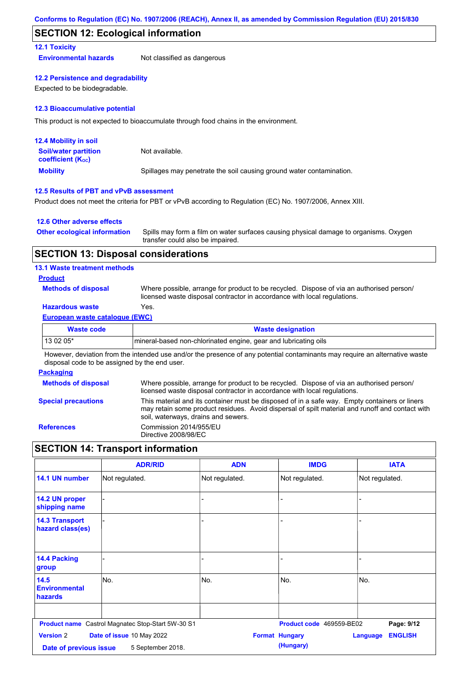## **SECTION 12: Ecological information**

## **12.1 Toxicity**

**Environmental hazards** Not classified as dangerous

### **12.2 Persistence and degradability**

Expected to be biodegradable.

### **12.3 Bioaccumulative potential**

This product is not expected to bioaccumulate through food chains in the environment.

| <b>12.4 Mobility in soil</b>                                  |                                                                      |
|---------------------------------------------------------------|----------------------------------------------------------------------|
| <b>Soil/water partition</b><br>coefficient (K <sub>oc</sub> ) | Not available.                                                       |
| <b>Mobility</b>                                               | Spillages may penetrate the soil causing ground water contamination. |

## **12.5 Results of PBT and vPvB assessment**

Product does not meet the criteria for PBT or vPvB according to Regulation (EC) No. 1907/2006, Annex XIII.

### **12.6 Other adverse effects**

| <b>Other ecological information</b> | Spills may form a film on water surfaces causing physical damage to organisms. Oxygen |
|-------------------------------------|---------------------------------------------------------------------------------------|
|                                     | transfer could also be impaired.                                                      |

## **SECTION 13: Disposal considerations**

### **13.1 Waste treatment methods**

## **Product**

**Methods of disposal**

Where possible, arrange for product to be recycled. Dispose of via an authorised person/ licensed waste disposal contractor in accordance with local regulations.

## **Hazardous waste** Yes.

### **European waste catalogue (EWC)**

| Waste code | <b>Waste designation</b>                                         |
|------------|------------------------------------------------------------------|
| $130205*$  | Imineral-based non-chlorinated engine, gear and lubricating oils |

However, deviation from the intended use and/or the presence of any potential contaminants may require an alternative waste disposal code to be assigned by the end user.

### **Packaging**

| <b>Methods of disposal</b> | Where possible, arrange for product to be recycled. Dispose of via an authorised person/<br>licensed waste disposal contractor in accordance with local regulations.                                                                    |
|----------------------------|-----------------------------------------------------------------------------------------------------------------------------------------------------------------------------------------------------------------------------------------|
| <b>Special precautions</b> | This material and its container must be disposed of in a safe way. Empty containers or liners<br>may retain some product residues. Avoid dispersal of spilt material and runoff and contact with<br>soil, waterways, drains and sewers. |
| <b>References</b>          | Commission 2014/955/EU<br>Directive 2008/98/EC                                                                                                                                                                                          |

# **SECTION 14: Transport information**

|                                           | <b>ADR/RID</b>                                    | <b>ADN</b>     | <b>IMDG</b>              | <b>IATA</b>                       |
|-------------------------------------------|---------------------------------------------------|----------------|--------------------------|-----------------------------------|
| 14.1 UN number                            | Not regulated.                                    | Not regulated. | Not regulated.           | Not regulated.                    |
| 14.2 UN proper<br>shipping name           |                                                   | ٠              |                          |                                   |
| <b>14.3 Transport</b><br>hazard class(es) |                                                   |                |                          |                                   |
| 14.4 Packing<br>group                     |                                                   |                |                          |                                   |
| 14.5<br><b>Environmental</b><br>hazards   | lNo.                                              | No.            | No.                      | No.                               |
|                                           | Product name Castrol Magnatec Stop-Start 5W-30 S1 |                | Product code 469559-BE02 | Page: 9/12                        |
| <b>Version 2</b>                          | Date of issue 10 May 2022                         |                | <b>Format Hungary</b>    | <b>ENGLISH</b><br><b>Language</b> |
| Date of previous issue                    | 5 September 2018.                                 |                | (Hungary)                |                                   |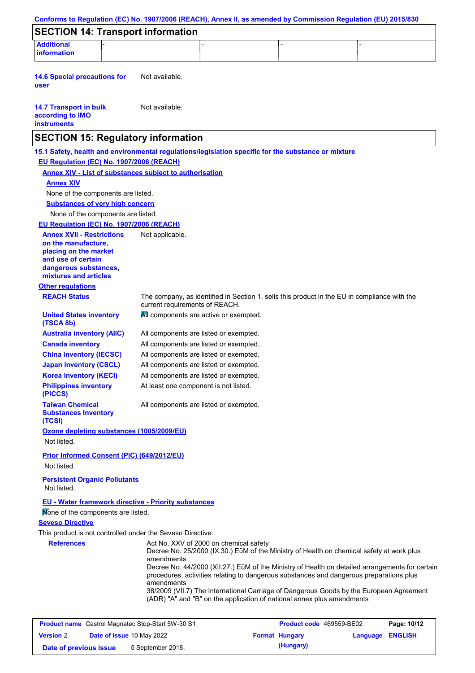| Conforms to Regulation (EC) No. 1907/2006 (REACH), Annex II, as amended by Commission Regulation (EU) 2015/830                                           |                                |                                                                                                                                                                                                                                                                                                                                   |                          |                  |             |
|----------------------------------------------------------------------------------------------------------------------------------------------------------|--------------------------------|-----------------------------------------------------------------------------------------------------------------------------------------------------------------------------------------------------------------------------------------------------------------------------------------------------------------------------------|--------------------------|------------------|-------------|
| <b>SECTION 14: Transport information</b>                                                                                                                 |                                |                                                                                                                                                                                                                                                                                                                                   |                          |                  |             |
| <b>Additional</b>                                                                                                                                        |                                |                                                                                                                                                                                                                                                                                                                                   |                          |                  |             |
| information                                                                                                                                              |                                |                                                                                                                                                                                                                                                                                                                                   |                          |                  |             |
| <b>14.6 Special precautions for</b><br>user                                                                                                              | Not available.                 |                                                                                                                                                                                                                                                                                                                                   |                          |                  |             |
| <b>14.7 Transport in bulk</b><br>according to IMO<br><b>instruments</b>                                                                                  | Not available.                 |                                                                                                                                                                                                                                                                                                                                   |                          |                  |             |
| <b>SECTION 15: Regulatory information</b>                                                                                                                |                                |                                                                                                                                                                                                                                                                                                                                   |                          |                  |             |
| 15.1 Safety, health and environmental regulations/legislation specific for the substance or mixture<br>EU Regulation (EC) No. 1907/2006 (REACH)          |                                |                                                                                                                                                                                                                                                                                                                                   |                          |                  |             |
| <b>Annex XIV - List of substances subject to authorisation</b>                                                                                           |                                |                                                                                                                                                                                                                                                                                                                                   |                          |                  |             |
| <b>Annex XIV</b>                                                                                                                                         |                                |                                                                                                                                                                                                                                                                                                                                   |                          |                  |             |
| None of the components are listed.                                                                                                                       |                                |                                                                                                                                                                                                                                                                                                                                   |                          |                  |             |
| <b>Substances of very high concern</b>                                                                                                                   |                                |                                                                                                                                                                                                                                                                                                                                   |                          |                  |             |
| None of the components are listed.                                                                                                                       |                                |                                                                                                                                                                                                                                                                                                                                   |                          |                  |             |
| EU Regulation (EC) No. 1907/2006 (REACH)                                                                                                                 |                                |                                                                                                                                                                                                                                                                                                                                   |                          |                  |             |
| <b>Annex XVII - Restrictions</b><br>on the manufacture,<br>placing on the market<br>and use of certain<br>dangerous substances,<br>mixtures and articles | Not applicable.                |                                                                                                                                                                                                                                                                                                                                   |                          |                  |             |
| <b>Other regulations</b>                                                                                                                                 |                                |                                                                                                                                                                                                                                                                                                                                   |                          |                  |             |
| <b>REACH Status</b>                                                                                                                                      | current requirements of REACH. | The company, as identified in Section 1, sells this product in the EU in compliance with the                                                                                                                                                                                                                                      |                          |                  |             |
| <b>United States inventory</b><br>(TSCA 8b)                                                                                                              |                                | All components are active or exempted.                                                                                                                                                                                                                                                                                            |                          |                  |             |
| <b>Australia inventory (AIIC)</b>                                                                                                                        |                                | All components are listed or exempted.                                                                                                                                                                                                                                                                                            |                          |                  |             |
| <b>Canada inventory</b>                                                                                                                                  |                                | All components are listed or exempted.                                                                                                                                                                                                                                                                                            |                          |                  |             |
| <b>China inventory (IECSC)</b>                                                                                                                           |                                | All components are listed or exempted.                                                                                                                                                                                                                                                                                            |                          |                  |             |
| <b>Japan inventory (CSCL)</b>                                                                                                                            |                                | All components are listed or exempted.                                                                                                                                                                                                                                                                                            |                          |                  |             |
| <b>Korea inventory (KECI)</b>                                                                                                                            |                                | All components are listed or exempted.                                                                                                                                                                                                                                                                                            |                          |                  |             |
| <b>Philippines inventory</b><br>(PICCS)                                                                                                                  |                                | At least one component is not listed.                                                                                                                                                                                                                                                                                             |                          |                  |             |
| <b>Taiwan Chemical</b><br><b>Substances Inventory</b><br>(TCSI)                                                                                          |                                | All components are listed or exempted.                                                                                                                                                                                                                                                                                            |                          |                  |             |
| Ozone depleting substances (1005/2009/EU)<br>Not listed.                                                                                                 |                                |                                                                                                                                                                                                                                                                                                                                   |                          |                  |             |
| Prior Informed Consent (PIC) (649/2012/EU)                                                                                                               |                                |                                                                                                                                                                                                                                                                                                                                   |                          |                  |             |
| Not listed.                                                                                                                                              |                                |                                                                                                                                                                                                                                                                                                                                   |                          |                  |             |
| <b>Persistent Organic Pollutants</b><br>Not listed.                                                                                                      |                                |                                                                                                                                                                                                                                                                                                                                   |                          |                  |             |
| EU - Water framework directive - Priority substances<br>Mone of the components are listed.                                                               |                                |                                                                                                                                                                                                                                                                                                                                   |                          |                  |             |
| <b>Seveso Directive</b>                                                                                                                                  |                                |                                                                                                                                                                                                                                                                                                                                   |                          |                  |             |
| This product is not controlled under the Seveso Directive.                                                                                               |                                |                                                                                                                                                                                                                                                                                                                                   |                          |                  |             |
| <b>References</b>                                                                                                                                        | amendments                     | Act No. XXV of 2000 on chemical safety<br>Decree No. 25/2000 (IX.30.) EüM of the Ministry of Health on chemical safety at work plus<br>Decree No. 44/2000 (XII.27.) EüM of the Ministry of Health on detailed arrangements for certain<br>procedures, activities relating to dangerous substances and dangerous preparations plus |                          |                  |             |
|                                                                                                                                                          | amendments                     | 38/2009 (VII.7) The International Carriage of Dangerous Goods by the European Agreement<br>(ADR) "A" and "B" on the application of national annex plus amendments                                                                                                                                                                 |                          |                  |             |
| <b>Product name</b> Castrol Magnatec Stop-Start 5W-30 S1                                                                                                 |                                |                                                                                                                                                                                                                                                                                                                                   | Product code 469559-BE02 |                  | Page: 10/12 |
| <b>Version 2</b><br>Date of issue 10 May 2022                                                                                                            |                                |                                                                                                                                                                                                                                                                                                                                   | <b>Format Hungary</b>    | Language ENGLISH |             |
| Date of previous issue                                                                                                                                   | 5 September 2018.              |                                                                                                                                                                                                                                                                                                                                   | (Hungary)                |                  |             |
|                                                                                                                                                          |                                |                                                                                                                                                                                                                                                                                                                                   |                          |                  |             |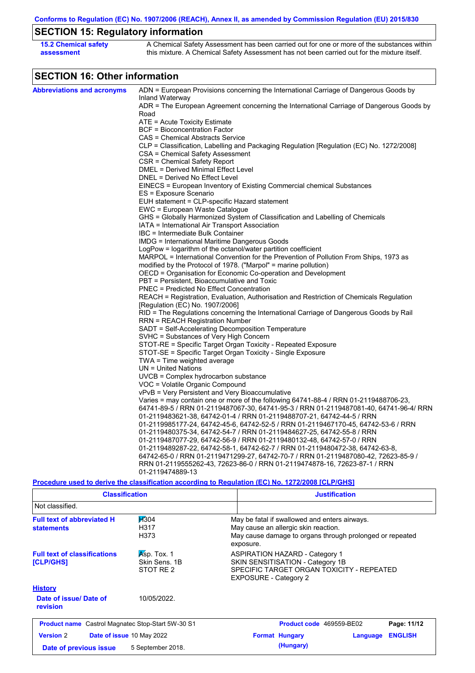**Conforms to Regulation (EC) No. 1907/2006 (REACH), Annex II, as amended by Commission Regulation (EU) 2015/830**

# **SECTION 15: Regulatory information**

| <b>15.2 Chemical safety</b> | A Chemical Safety Assessment has been carried out for one or more of the substances within  |
|-----------------------------|---------------------------------------------------------------------------------------------|
| assessment                  | this mixture. A Chemical Safety Assessment has not been carried out for the mixture itself. |

# **SECTION 16: Other information**

| <b>Abbreviations and acronyms</b> | ADN = European Provisions concerning the International Carriage of Dangerous Goods by                                                                  |
|-----------------------------------|--------------------------------------------------------------------------------------------------------------------------------------------------------|
|                                   | Inland Waterway<br>ADR = The European Agreement concerning the International Carriage of Dangerous Goods by                                            |
|                                   | Road                                                                                                                                                   |
|                                   | $ATE = Acute Toxicity Estimate$                                                                                                                        |
|                                   | <b>BCF</b> = Bioconcentration Factor                                                                                                                   |
|                                   | CAS = Chemical Abstracts Service                                                                                                                       |
|                                   | CLP = Classification, Labelling and Packaging Regulation [Regulation (EC) No. 1272/2008]                                                               |
|                                   | CSA = Chemical Safety Assessment                                                                                                                       |
|                                   | CSR = Chemical Safety Report                                                                                                                           |
|                                   | DMEL = Derived Minimal Effect Level                                                                                                                    |
|                                   | DNEL = Derived No Effect Level                                                                                                                         |
|                                   | EINECS = European Inventory of Existing Commercial chemical Substances                                                                                 |
|                                   | ES = Exposure Scenario                                                                                                                                 |
|                                   | EUH statement = CLP-specific Hazard statement                                                                                                          |
|                                   | EWC = European Waste Catalogue                                                                                                                         |
|                                   | GHS = Globally Harmonized System of Classification and Labelling of Chemicals<br>IATA = International Air Transport Association                        |
|                                   | IBC = Intermediate Bulk Container                                                                                                                      |
|                                   | IMDG = International Maritime Dangerous Goods                                                                                                          |
|                                   |                                                                                                                                                        |
|                                   | LogPow = logarithm of the octanol/water partition coefficient<br>MARPOL = International Convention for the Prevention of Pollution From Ships, 1973 as |
|                                   | modified by the Protocol of 1978. ("Marpol" = marine pollution)                                                                                        |
|                                   | OECD = Organisation for Economic Co-operation and Development                                                                                          |
|                                   | PBT = Persistent, Bioaccumulative and Toxic                                                                                                            |
|                                   | <b>PNEC</b> = Predicted No Effect Concentration                                                                                                        |
|                                   |                                                                                                                                                        |
|                                   | REACH = Registration, Evaluation, Authorisation and Restriction of Chemicals Regulation<br>[Regulation (EC) No. 1907/2006]                             |
|                                   | RID = The Regulations concerning the International Carriage of Dangerous Goods by Rail                                                                 |
|                                   | <b>RRN = REACH Registration Number</b>                                                                                                                 |
|                                   | SADT = Self-Accelerating Decomposition Temperature                                                                                                     |
|                                   | SVHC = Substances of Very High Concern                                                                                                                 |
|                                   | STOT-RE = Specific Target Organ Toxicity - Repeated Exposure                                                                                           |
|                                   | STOT-SE = Specific Target Organ Toxicity - Single Exposure                                                                                             |
|                                   | $TWA = Time weighted average$                                                                                                                          |
|                                   | $UN = United Nations$                                                                                                                                  |
|                                   | UVCB = Complex hydrocarbon substance                                                                                                                   |
|                                   | VOC = Volatile Organic Compound                                                                                                                        |
|                                   | vPvB = Very Persistent and Very Bioaccumulative                                                                                                        |
|                                   | Varies = may contain one or more of the following $64741-88-4$ / RRN 01-2119488706-23,                                                                 |
|                                   | 64741-89-5 / RRN 01-2119487067-30, 64741-95-3 / RRN 01-2119487081-40, 64741-96-4/ RRN                                                                  |
|                                   | 01-2119483621-38, 64742-01-4 / RRN 01-2119488707-21, 64742-44-5 / RRN                                                                                  |
|                                   | 01-2119985177-24, 64742-45-6, 64742-52-5 / RRN 01-2119467170-45, 64742-53-6 / RRN                                                                      |
|                                   | 01-2119480375-34, 64742-54-7 / RRN 01-2119484627-25, 64742-55-8 / RRN                                                                                  |
|                                   | 01-2119487077-29, 64742-56-9 / RRN 01-2119480132-48, 64742-57-0 / RRN                                                                                  |
|                                   | 01-2119489287-22, 64742-58-1, 64742-62-7 / RRN 01-2119480472-38, 64742-63-8,                                                                           |
|                                   | 64742-65-0 / RRN 01-2119471299-27, 64742-70-7 / RRN 01-2119487080-42, 72623-85-9 /                                                                     |
|                                   | RRN 01-2119555262-43, 72623-86-0 / RRN 01-2119474878-16, 72623-87-1 / RRN                                                                              |
|                                   | 01-2119474889-13                                                                                                                                       |
|                                   |                                                                                                                                                        |
|                                   | <u>Procedure used to derive the classification according to Regulation (EC) No. 1272/2008 [CLP/GHS]</u>                                                |

| <b>Classification</b>                                                                  |                                           | <b>Justification</b>                                                                                                                                           |  |  |  |
|----------------------------------------------------------------------------------------|-------------------------------------------|----------------------------------------------------------------------------------------------------------------------------------------------------------------|--|--|--|
| Not classified.                                                                        |                                           |                                                                                                                                                                |  |  |  |
| <b>H</b> 304<br><b>Full text of abbreviated H</b><br>H317<br><b>statements</b><br>H373 |                                           | May be fatal if swallowed and enters airways.<br>May cause an allergic skin reaction.<br>May cause damage to organs through prolonged or repeated<br>exposure. |  |  |  |
| <b>Full text of classifications</b><br>[CLP/GHS]                                       | Asp. Tox. 1<br>Skin Sens, 1B<br>STOT RE 2 | <b>ASPIRATION HAZARD - Category 1</b><br>SKIN SENSITISATION - Category 1B<br>SPECIFIC TARGET ORGAN TOXICITY - REPEATED<br><b>EXPOSURE - Category 2</b>         |  |  |  |
| <b>History</b>                                                                         |                                           |                                                                                                                                                                |  |  |  |
| Date of issue/Date of<br>revision                                                      | 10/05/2022.                               |                                                                                                                                                                |  |  |  |
| <b>Product name</b> Castrol Magnatec Stop-Start 5W-30 S1                               |                                           | Page: 11/12<br><b>Product code</b> 469559-BE02                                                                                                                 |  |  |  |
| <b>Version 2</b><br>Date of issue 10 May 2022                                          |                                           | <b>ENGLISH</b><br><b>Format Hungary</b><br>Language                                                                                                            |  |  |  |
| Date of previous issue                                                                 | 5 September 2018.                         | (Hungary)                                                                                                                                                      |  |  |  |